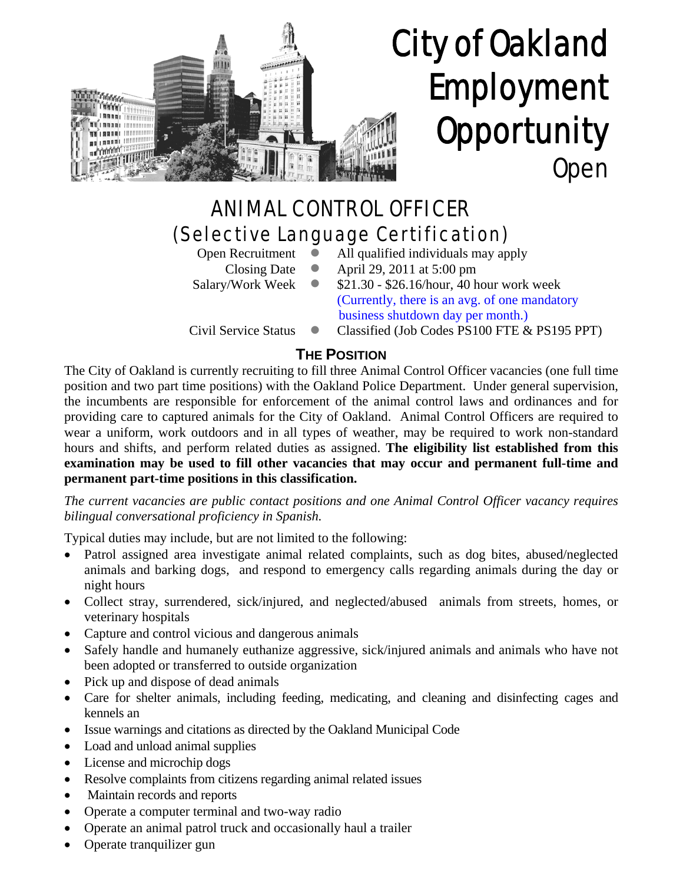

# City of Oakland Employment **Opportunity** Open

# ANIMAL CONTROL OFFICER (Selective Language Certification)

- 
- Open Recruitment  $\bullet$  All qualified individuals may apply
	- Closing Date  $\bullet$  April 29, 2011 at 5:00 pm
- 
- Salary/Work Week  $\bullet$  \$21.30 \$26.16/hour, 40 hour work week (Currently, there is an avg. of one mandatory business shutdown day per month.)
- Civil Service Status  $\bullet$  Classified (Job Codes PS100 FTE & PS195 PPT)

# **THE POSITION**

The City of Oakland is currently recruiting to fill three Animal Control Officer vacancies (one full time position and two part time positions) with the Oakland Police Department. Under general supervision, the incumbents are responsible for enforcement of the animal control laws and ordinances and for providing care to captured animals for the City of Oakland. Animal Control Officers are required to wear a uniform, work outdoors and in all types of weather, may be required to work non-standard hours and shifts, and perform related duties as assigned. **The eligibility list established from this examination may be used to fill other vacancies that may occur and permanent full-time and permanent part-time positions in this classification.**

#### *The current vacancies are public contact positions and one Animal Control Officer vacancy requires bilingual conversational proficiency in Spanish.*

Typical duties may include, but are not limited to the following:

- Patrol assigned area investigate animal related complaints, such as dog bites, abused/neglected animals and barking dogs, and respond to emergency calls regarding animals during the day or night hours
- Collect stray, surrendered, sick/injured, and neglected/abused animals from streets, homes, or veterinary hospitals
- Capture and control vicious and dangerous animals
- Safely handle and humanely euthanize aggressive, sick/injured animals and animals who have not been adopted or transferred to outside organization
- Pick up and dispose of dead animals
- Care for shelter animals, including feeding, medicating, and cleaning and disinfecting cages and kennels an
- Issue warnings and citations as directed by the Oakland Municipal Code
- Load and unload animal supplies
- License and microchip dogs
- Resolve complaints from citizens regarding animal related issues
- Maintain records and reports
- Operate a computer terminal and two-way radio
- Operate an animal patrol truck and occasionally haul a trailer
- Operate tranquilizer gun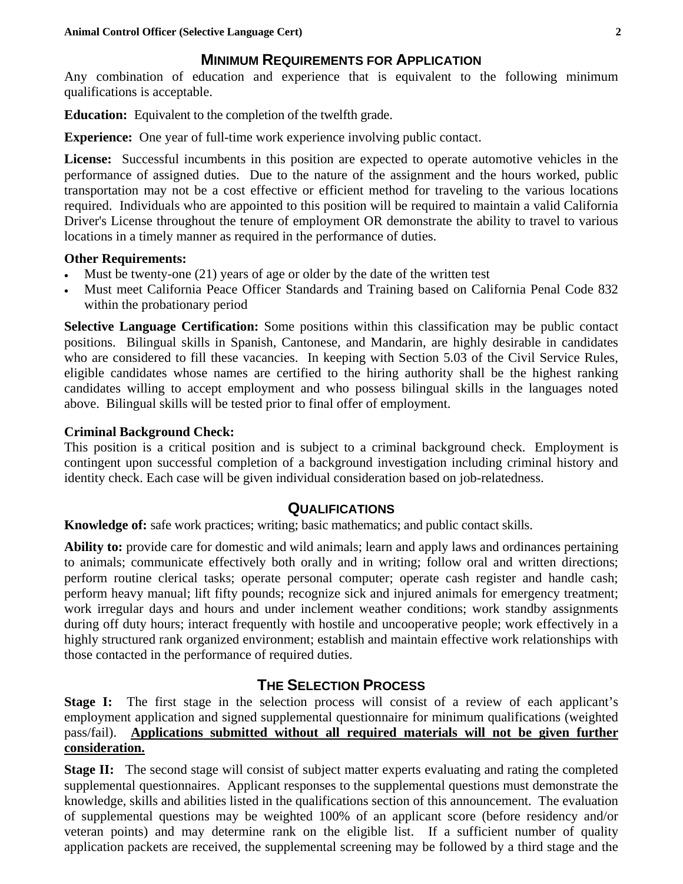#### **MINIMUM REQUIREMENTS FOR APPLICATION**

Any combination of education and experience that is equivalent to the following minimum qualifications is acceptable.

**Education:** Equivalent to the completion of the twelfth grade.

**Experience:** One year of full-time work experience involving public contact.

**License:** Successful incumbents in this position are expected to operate automotive vehicles in the performance of assigned duties. Due to the nature of the assignment and the hours worked, public transportation may not be a cost effective or efficient method for traveling to the various locations required. Individuals who are appointed to this position will be required to maintain a valid California Driver's License throughout the tenure of employment OR demonstrate the ability to travel to various locations in a timely manner as required in the performance of duties.

#### **Other Requirements:**

- Must be twenty-one (21) years of age or older by the date of the written test
- Must meet California Peace Officer Standards and Training based on California Penal Code 832 within the probationary period

**Selective Language Certification:** Some positions within this classification may be public contact positions. Bilingual skills in Spanish, Cantonese, and Mandarin, are highly desirable in candidates who are considered to fill these vacancies. In keeping with Section 5.03 of the Civil Service Rules, eligible candidates whose names are certified to the hiring authority shall be the highest ranking candidates willing to accept employment and who possess bilingual skills in the languages noted above. Bilingual skills will be tested prior to final offer of employment.

#### **Criminal Background Check:**

This position is a critical position and is subject to a criminal background check. Employment is contingent upon successful completion of a background investigation including criminal history and identity check. Each case will be given individual consideration based on job-relatedness.

#### **QUALIFICATIONS**

**Knowledge of:** safe work practices; writing; basic mathematics; and public contact skills.

**Ability to:** provide care for domestic and wild animals; learn and apply laws and ordinances pertaining to animals; communicate effectively both orally and in writing; follow oral and written directions; perform routine clerical tasks; operate personal computer; operate cash register and handle cash; perform heavy manual; lift fifty pounds; recognize sick and injured animals for emergency treatment; work irregular days and hours and under inclement weather conditions; work standby assignments during off duty hours; interact frequently with hostile and uncooperative people; work effectively in a highly structured rank organized environment; establish and maintain effective work relationships with those contacted in the performance of required duties.

## **THE SELECTION PROCESS**

**Stage I:** The first stage in the selection process will consist of a review of each applicant's employment application and signed supplemental questionnaire for minimum qualifications (weighted pass/fail). **Applications submitted without all required materials will not be given further consideration.**

**Stage II:** The second stage will consist of subject matter experts evaluating and rating the completed supplemental questionnaires. Applicant responses to the supplemental questions must demonstrate the knowledge, skills and abilities listed in the qualifications section of this announcement. The evaluation of supplemental questions may be weighted 100% of an applicant score (before residency and/or veteran points) and may determine rank on the eligible list. If a sufficient number of quality application packets are received, the supplemental screening may be followed by a third stage and the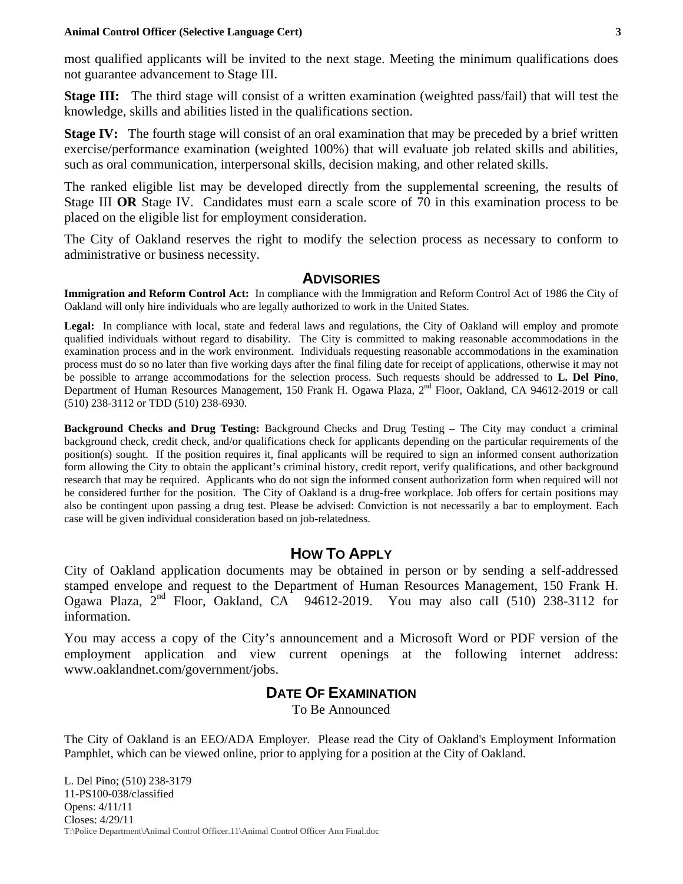#### **Animal Control Officer (Selective Language Cert) 3**

most qualified applicants will be invited to the next stage. Meeting the minimum qualifications does not guarantee advancement to Stage III.

**Stage III:** The third stage will consist of a written examination (weighted pass/fail) that will test the knowledge, skills and abilities listed in the qualifications section.

**Stage IV:** The fourth stage will consist of an oral examination that may be preceded by a brief written exercise/performance examination (weighted 100%) that will evaluate job related skills and abilities, such as oral communication, interpersonal skills, decision making, and other related skills.

The ranked eligible list may be developed directly from the supplemental screening, the results of Stage III **OR** Stage IV. Candidates must earn a scale score of 70 in this examination process to be placed on the eligible list for employment consideration.

The City of Oakland reserves the right to modify the selection process as necessary to conform to administrative or business necessity.

#### **ADVISORIES**

**Immigration and Reform Control Act:** In compliance with the Immigration and Reform Control Act of 1986 the City of Oakland will only hire individuals who are legally authorized to work in the United States.

Legal: In compliance with local, state and federal laws and regulations, the City of Oakland will employ and promote qualified individuals without regard to disability. The City is committed to making reasonable accommodations in the examination process and in the work environment. Individuals requesting reasonable accommodations in the examination process must do so no later than five working days after the final filing date for receipt of applications, otherwise it may not be possible to arrange accommodations for the selection process. Such requests should be addressed to **L. Del Pino**, Department of Human Resources Management, 150 Frank H. Ogawa Plaza, 2<sup>nd</sup> Floor, Oakland, CA 94612-2019 or call (510) 238-3112 or TDD (510) 238-6930.

**Background Checks and Drug Testing:** Background Checks and Drug Testing – The City may conduct a criminal background check, credit check, and/or qualifications check for applicants depending on the particular requirements of the position(s) sought. If the position requires it, final applicants will be required to sign an informed consent authorization form allowing the City to obtain the applicant's criminal history, credit report, verify qualifications, and other background research that may be required. Applicants who do not sign the informed consent authorization form when required will not be considered further for the position. The City of Oakland is a drug-free workplace. Job offers for certain positions may also be contingent upon passing a drug test. Please be advised: Conviction is not necessarily a bar to employment. Each case will be given individual consideration based on job-relatedness.

#### **HOW TO APPLY**

City of Oakland application documents may be obtained in person or by sending a self-addressed stamped envelope and request to the Department of Human Resources Management, 150 Frank H. Ogawa Plaza,  $2<sup>nd</sup>$  Floor, Oakland, CA 94612-2019. You may also call (510) 238-3112 for information.

You may access a copy of the City's announcement and a Microsoft Word or PDF version of the employment application and view current openings at the following internet address: www.oaklandnet.com/government/jobs.

#### **DATE OF EXAMINATION**

To Be Announced

The City of Oakland is an EEO/ADA Employer. Please read the City of Oakland's Employment Information Pamphlet, which can be viewed online, prior to applying for a position at the City of Oakland.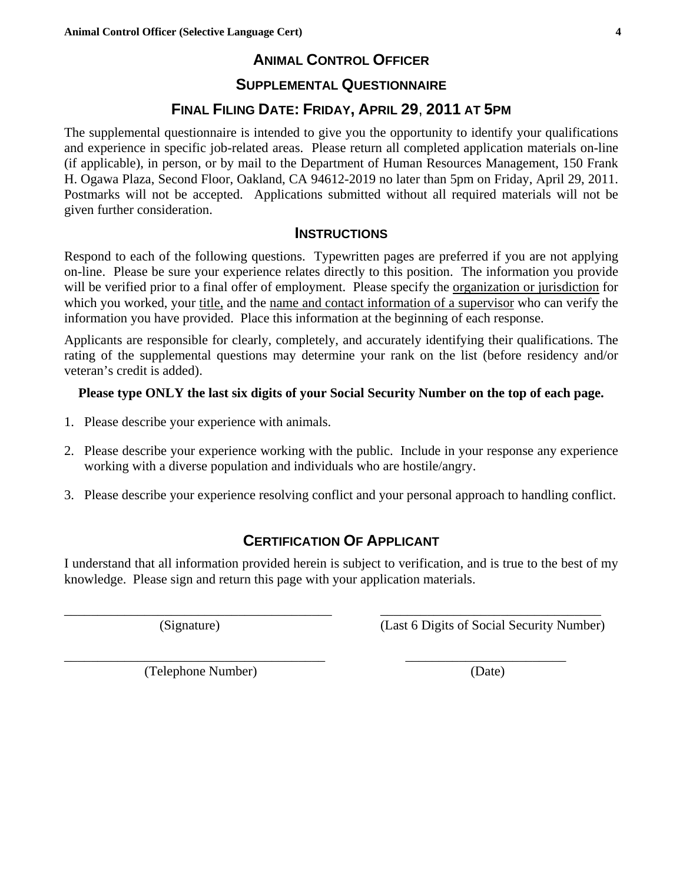# **ANIMAL CONTROL OFFICER**

#### **SUPPLEMENTAL QUESTIONNAIRE**

#### **FINAL FILING DATE: FRIDAY, APRIL 29**, **2011 AT 5PM**

The supplemental questionnaire is intended to give you the opportunity to identify your qualifications and experience in specific job-related areas. Please return all completed application materials on-line (if applicable), in person, or by mail to the Department of Human Resources Management, 150 Frank H. Ogawa Plaza, Second Floor, Oakland, CA 94612-2019 no later than 5pm on Friday, April 29, 2011. Postmarks will not be accepted. Applications submitted without all required materials will not be given further consideration.

#### **INSTRUCTIONS**

Respond to each of the following questions. Typewritten pages are preferred if you are not applying on-line. Please be sure your experience relates directly to this position. The information you provide will be verified prior to a final offer of employment. Please specify the organization or jurisdiction for which you worked, your title, and the name and contact information of a supervisor who can verify the information you have provided. Place this information at the beginning of each response.

Applicants are responsible for clearly, completely, and accurately identifying their qualifications. The rating of the supplemental questions may determine your rank on the list (before residency and/or veteran's credit is added).

#### **Please type ONLY the last six digits of your Social Security Number on the top of each page.**

- 1. Please describe your experience with animals.
- 2. Please describe your experience working with the public. Include in your response any experience working with a diverse population and individuals who are hostile/angry.
- 3. Please describe your experience resolving conflict and your personal approach to handling conflict.

#### **CERTIFICATION OF APPLICANT**

I understand that all information provided herein is subject to verification, and is true to the best of my knowledge. Please sign and return this page with your application materials.

\_\_\_\_\_\_\_\_\_\_\_\_\_\_\_\_\_\_\_\_\_\_\_\_\_\_\_\_\_\_\_\_\_\_\_\_\_\_\_\_ \_\_\_\_\_\_\_\_\_\_\_\_\_\_\_\_\_\_\_\_\_\_\_\_\_\_\_\_\_\_\_\_\_

(Signature) (Last 6 Digits of Social Security Number)

\_\_\_\_\_\_\_\_\_\_\_\_\_\_\_\_\_\_\_\_\_\_\_\_\_\_\_\_\_\_\_\_\_\_\_\_\_\_\_ \_\_\_\_\_\_\_\_\_\_\_\_\_\_\_\_\_\_\_\_\_\_\_\_ (Telephone Number) (Date)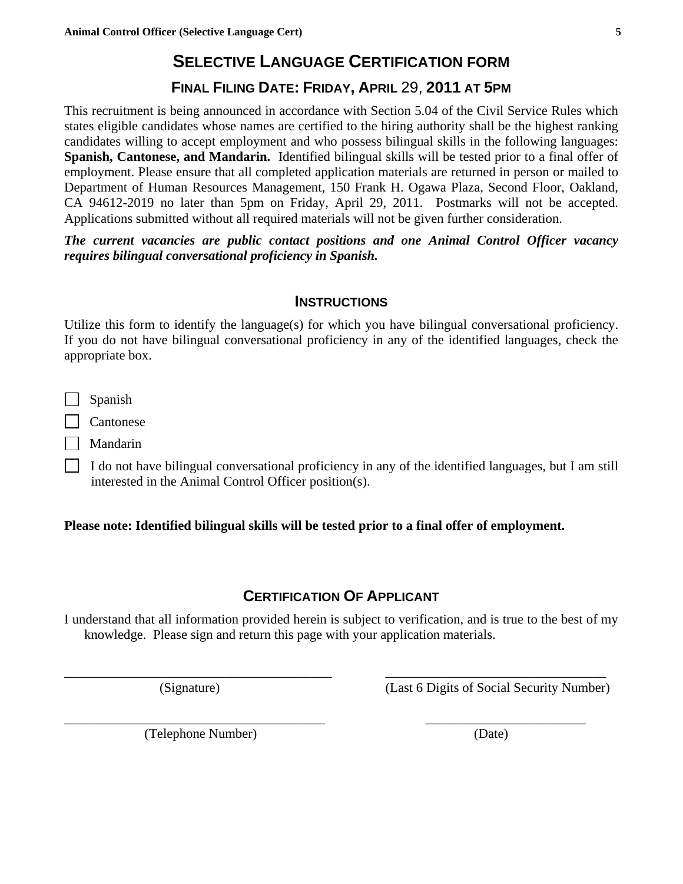# **SELECTIVE LANGUAGE CERTIFICATION FORM**

# **FINAL FILING DATE: FRIDAY, APRIL** 29, **2011 AT 5PM**

This recruitment is being announced in accordance with Section 5.04 of the Civil Service Rules which states eligible candidates whose names are certified to the hiring authority shall be the highest ranking candidates willing to accept employment and who possess bilingual skills in the following languages: **Spanish, Cantonese, and Mandarin.** Identified bilingual skills will be tested prior to a final offer of employment. Please ensure that all completed application materials are returned in person or mailed to Department of Human Resources Management, 150 Frank H. Ogawa Plaza, Second Floor, Oakland, CA 94612-2019 no later than 5pm on Friday, April 29, 2011. Postmarks will not be accepted. Applications submitted without all required materials will not be given further consideration.

*The current vacancies are public contact positions and one Animal Control Officer vacancy requires bilingual conversational proficiency in Spanish.*

#### **INSTRUCTIONS**

Utilize this form to identify the language(s) for which you have bilingual conversational proficiency. If you do not have bilingual conversational proficiency in any of the identified languages, check the appropriate box.

Spanish

**Cantonese** 

| | Mandarin

 $\Box$  I do not have bilingual conversational proficiency in any of the identified languages, but I am still interested in the Animal Control Officer position(s).

#### **Please note: Identified bilingual skills will be tested prior to a final offer of employment.**

## **CERTIFICATION OF APPLICANT**

I understand that all information provided herein is subject to verification, and is true to the best of my knowledge. Please sign and return this page with your application materials.

\_\_\_\_\_\_\_\_\_\_\_\_\_\_\_\_\_\_\_\_\_\_\_\_\_\_\_\_\_\_\_\_\_\_\_\_\_\_\_\_ \_\_\_\_\_\_\_\_\_\_\_\_\_\_\_\_\_\_\_\_\_\_\_\_\_\_\_\_\_\_\_\_\_

\_\_\_\_\_\_\_\_\_\_\_\_\_\_\_\_\_\_\_\_\_\_\_\_\_\_\_\_\_\_\_\_\_\_\_\_\_\_\_ \_\_\_\_\_\_\_\_\_\_\_\_\_\_\_\_\_\_\_\_\_\_\_\_

(Signature) (Last 6 Digits of Social Security Number)

(Telephone Number) (Date)